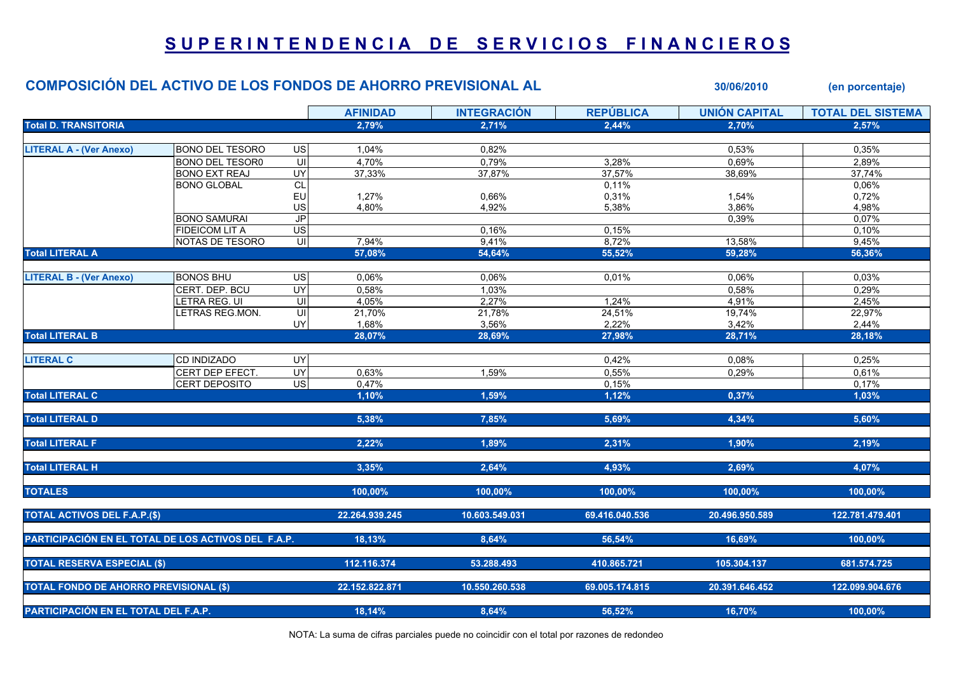## SUPERINTENDENCIA DE SERVICIOS FINANCIEROS

## COMPOSICIÓN DEL ACTIVO DE LOS FONDOS DE AHORRO PREVISIONAL AL 30/06/2010 (en porcentaje)

|                                                     |                        |                                    | <b>AFINIDAD</b> | <b>INTEGRACION</b> | <b>REPUBLICA</b> | <b>UNION CAPITAL</b> | <b>TOTAL DEL SISTEMA</b> |
|-----------------------------------------------------|------------------------|------------------------------------|-----------------|--------------------|------------------|----------------------|--------------------------|
| <b>Total D. TRANSITORIA</b>                         |                        |                                    | 2,79%           | 2,71%              | 2,44%            | 2,70%                | 2.57%                    |
|                                                     |                        |                                    |                 |                    |                  |                      |                          |
| <b>LITERAL A - (Ver Anexo)</b>                      | <b>BONO DEL TESORO</b> | <b>US</b>                          | 1,04%           | 0,82%              |                  | 0,53%                | 0,35%                    |
|                                                     | <b>BONO DEL TESOR0</b> | UI                                 | 4,70%           | 0,79%              | 3,28%            | 0,69%                | 2,89%                    |
|                                                     | <b>BONO EXT REAJ</b>   | UY                                 | 37,33%          | 37,87%             | 37,57%           | 38,69%               | 37,74%                   |
|                                                     | <b>BONO GLOBAL</b>     | CL                                 |                 |                    | 0,11%            |                      | 0,06%                    |
|                                                     |                        | EU                                 | 1,27%           | 0,66%              | 0,31%            | 1,54%                | 0,72%                    |
|                                                     |                        | US                                 | 4,80%           | 4,92%              | 5,38%            | 3,86%                | 4,98%                    |
|                                                     | <b>BONO SAMURAI</b>    | $\overline{\mathsf{J} \mathsf{P}}$ |                 |                    |                  | 0,39%                | 0,07%                    |
|                                                     | <b>FIDEICOM LIT A</b>  | $\overline{US}$                    |                 | 0,16%              | 0,15%            |                      | 0,10%                    |
|                                                     | NOTAS DE TESORO        | UI                                 | 7,94%           | 9,41%              | 8,72%            | 13,58%               | 9,45%                    |
| <b>Total LITERAL A</b>                              |                        |                                    | 57,08%          | 54,64%             | 55,52%           | 59,28%               | 56,36%                   |
|                                                     |                        |                                    |                 |                    |                  |                      |                          |
| <b>LITERAL B - (Ver Anexo)</b>                      | <b>BONOS BHU</b>       | <b>US</b>                          | 0,06%           | 0,06%              | 0,01%            | 0,06%                | 0,03%                    |
|                                                     | CERT. DEP. BCU         | $\overline{UY}$                    | 0,58%           | 1,03%              |                  | 0,58%                | 0,29%                    |
|                                                     | LETRA REG. UI          | UI                                 | 4,05%           | 2,27%              | 1.24%            | 4,91%                | 2,45%                    |
|                                                     | LETRAS REG.MON.        | UI                                 | 21,70%          | 21,78%             | 24,51%           | 19,74%               | 22,97%                   |
|                                                     |                        | UY                                 | 1,68%           | 3,56%              | 2,22%            | 3,42%                | 2,44%                    |
| <b>Total LITERAL B</b>                              |                        |                                    | 28,07%          | 28,69%             | 27,98%           | 28,71%               | 28,18%                   |
|                                                     |                        |                                    |                 |                    |                  |                      |                          |
| <b>LITERAL C</b>                                    | <b>CD INDIZADO</b>     | UY                                 |                 |                    | 0,42%            | 0,08%                | 0,25%                    |
|                                                     | CERT DEP EFECT.        | <b>UY</b>                          | 0,63%           | 1,59%              | 0,55%            | 0,29%                | 0,61%                    |
|                                                     | <b>CERT DEPOSITO</b>   | $\overline{a}$                     | 0,47%           |                    | 0,15%            |                      | 0,17%                    |
| <b>Total LITERAL C</b>                              |                        |                                    | 1,10%           | 1,59%              | 1,12%            | 0,37%                | 1,03%                    |
|                                                     |                        |                                    |                 |                    |                  |                      |                          |
| <b>Total LITERAL D</b>                              |                        |                                    | 5.38%           | 7,85%              | 5,69%            | 4,34%                | 5.60%                    |
|                                                     |                        |                                    |                 |                    |                  |                      |                          |
| <b>Total LITERAL F</b>                              |                        |                                    | 2.22%           | 1,89%              | 2,31%            | 1,90%                | 2,19%                    |
|                                                     |                        |                                    |                 |                    |                  |                      |                          |
| <b>Total LITERAL H</b>                              |                        |                                    | 3.35%           | 2,64%              | 4,93%            | 2,69%                | 4,07%                    |
|                                                     |                        |                                    |                 |                    |                  |                      |                          |
| <b>TOTALES</b>                                      |                        |                                    | 100.00%         | 100.00%            | 100.00%          | 100.00%              | 100.00%                  |
| <b>TOTAL ACTIVOS DEL F.A.P.(\$)</b>                 |                        |                                    | 22.264.939.245  | 10.603.549.031     | 69.416.040.536   | 20.496.950.589       | 122.781.479.401          |
|                                                     |                        |                                    |                 |                    |                  |                      |                          |
| PARTICIPACIÓN EN EL TOTAL DE LOS ACTIVOS DEL F.A.P. |                        |                                    | 18.13%          | 8,64%              | 56.54%           | 16.69%               | 100.00%                  |
|                                                     |                        |                                    |                 |                    |                  |                      |                          |
| <b>TOTAL RESERVA ESPECIAL (\$)</b>                  |                        |                                    | 112.116.374     | 53.288.493         | 410.865.721      | 105.304.137          | 681.574.725              |
|                                                     |                        |                                    |                 |                    |                  |                      |                          |
| <b>TOTAL FONDO DE AHORRO PREVISIONAL (\$)</b>       |                        |                                    | 22.152.822.871  | 10.550.260.538     | 69.005.174.815   | 20.391.646.452       | 122.099.904.676          |
|                                                     |                        |                                    |                 |                    |                  |                      |                          |
| PARTICIPACIÓN EN EL TOTAL DEL F.A.P.                |                        |                                    | 18,14%          | 8,64%              | 56.52%           | 16,70%               | 100.00%                  |
|                                                     |                        |                                    |                 |                    |                  |                      |                          |

NOTA: La suma de cifras parciales puede no coincidir con el total por razones de redondeo